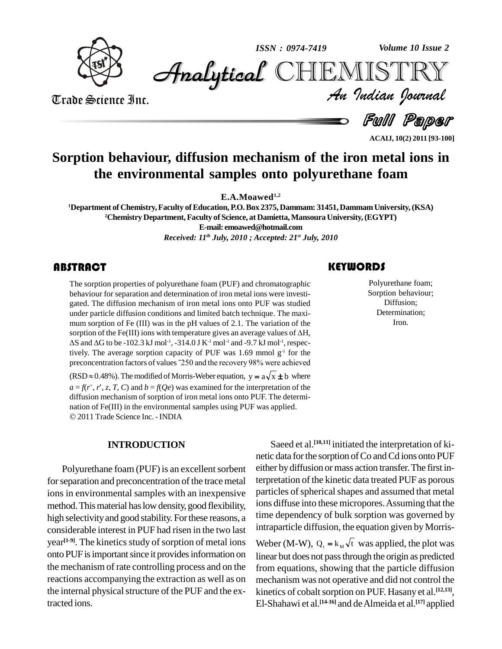

*Volume 10 Issue 2*



Trade Science Inc. Trade Science Inc.

*Volume 10 Issue 2*<br>IISTRY<br>*Indian Iournal* 

**Full Paper** 

**ACAIJ, 10(2) 2011 [93-100]**

## **Sorption behaviour, diffusion mechanism of the iron metal ions in the environmental samples onto polyurethane foam**

**E.A.Moawed 1,2**

**<sup>1</sup>Department of Chemistry,Faculty ofEducation, P.O.Box 2375, Dammam: 31451,DammamUniversity,(KSA) <sup>2</sup>Chemistry Department,Faculty of Science, at Damietta,Mansoura University,(EGYPT) E-mail: [emoawed@hotmail.com](mailto:emoawed@hotmail.com)**

*Received: 11 th July, 2010 ; Accepted: 21 st July, 2010*

## **ABSTRACT**

The sorption properties<br>behaviour for separation<br>gated. The diffusion mea The sorption properties of polyurethane foam (PUF) and chromatographic behaviour for separation and determination of iron metal ions were investi gated. The diffusion mechanism of iron metal ions onto PUF was studied under particle diffusion conditions and limited batch technique. The maxi mum sorption of Fe (III) was in the pH values of 2.1. The variation of the under particle diffusion conditions and limited batch technique. The maximum sorption of Fe (III) was in the pH values of 2.1. The variation of the sorption of the Fe(III) ions with temperature gives an average values of wm sorption of Fe (III) was in the pH values of 2.1. The variation of the prption of the Fe(III) ions with temperature gives an average values of ΔH, S and ΔG to be -102.3 kJ mol<sup>-1</sup>, -314.0 J K<sup>-1</sup> mol<sup>-1</sup> and -9.7 kJ m tively. The average sorption capacity of PUF was  $1.69$  mmol  $g<sup>-1</sup>$  for the preconcentration factors of values  $\textdegree$ 250 and the recovery 98% were achieved tively. The average sorption capacity of PUF was 1.69 mmor g<sup>2</sup> for the preconcentration factors of values  $250$  and the recovery 98% were achieved (RSD  $\approx$  0.48%). The modified of Morris-Weber equation,  $y = a\sqrt{x} \pm b$  whe  $a = f(r^+, r', z, z)$ 6.48%). The modified of Morris-Weber equation,  $y = a\sqrt{x} \pm b$  where  $r'$ ,  $z$ ,  $T$ ,  $C$ ) and  $b = f(Qe)$  was examined for the interpretation of the diffusion mechanism of sorption of iron metal ions onto PUF. The determi- nation of Fe(III) in the environmental samples using PUF was applied. 2011 Trade Science Inc.-INDIA

#### **INTRODUCTION**

Polyurethane foam (PUF) is an excellent sorbent for separation and preconcentration of the trace metal ions in environmental samples with an inexpensive method. This material has low density, good flexibility, high selectivity and good stability. For these reasons, a considerable interest in PUF had risen in the two last year<sup>[1-9]</sup>. The kinetics study of sorption of metal ions Web onto PUF is important since it provides information on the mechanism of rate controlling process and on the reactions accompanying the extraction as well as on the internal physical structure of the PUF and the extracted ions.

## **KEYWORDS**

Polyurethane fo<br>Sorption behavi<br>Diffusion; Polyurethane foam; Sorption behaviour; Diffusion; Determination; Iron.

Saeed et al. **[10,11]** initiated the interpretation of ki netic data for the sorption of Co and Cd ions onto PUF either by diffusion or mass action transfer. The first interpretation of the kinetic data treated PUF as porous particles of spherical shapes and assumed that metal ions diffuse into these micropores. Assuming that the time dependency of bulk sorption was governed by intraparticle diffusion, the equation given by Morrisintraparticle diffusion, the equation given by Morris-<br>Weber (M-W),  $Q_t = k_M \sqrt{t}$  was applied, the plot was linear but does not passthrough the origin as predicted from equations, showing that the particle diffusion mechanism was not operative and did not control the kinetics of cobalt sorption on PUF. Hasany et al.<sup>[12,13]</sup>, El-Shahawi et al. **[14-16]** and deAlmeida et al. **[17]** applied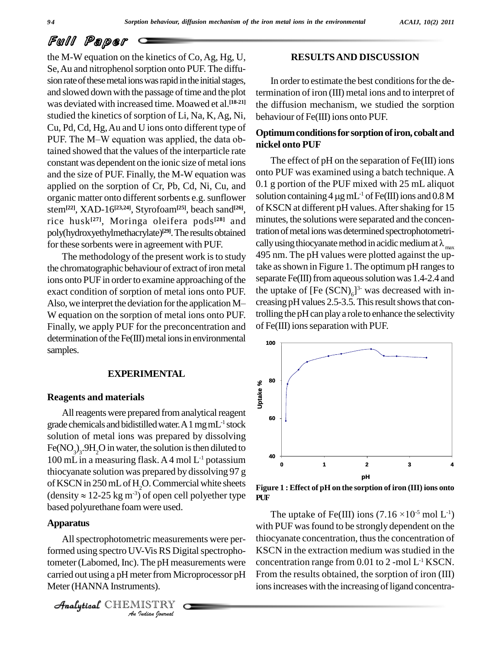the M-W equation on the kinetics of  $Co$ , Ag, Hg, U, Se, Au and nitrophenol sorption onto PUF. The diffusion rate of these metal ions was rapid in the initial stages, and slowed down with the passage of time and the plot was deviated with increased time. Moawed et al. **[18-21]** studied the kinetics of sorption of Li, Na, K, Ag, Ni, Cu, Pd, Cd, Hg, Au and U ions onto different type of  $\alpha$ studied the kinetics of sorption of Li, Na, K, Ag, Ni,<br>Cu, Pd, Cd, Hg, Au and U ions onto different type of<br>PUF. The M–W equation was applied, the data obtained showed that the values of the interparticle rate constant was dependent on the ionic size of metal ions and the size of PUF. Finally, the M-W equation was applied on the sorption of Cr, Pb, Cd, Ni, Cu, and organic matter onto different sorbents e.g. sunflower stem**[22]**, XAD-16 **[23,24]**, Styrofoam**[25]**, beach sand **[26]**, rice husk **[27]**, Moringa oleifera pods **[28]** and poly(hydroxyethylmethacrylate)<sup>[29]</sup>. The results obtained tration for these sorbents were in agreement with PUF.

the chromatographic behaviour of extract of iron metal ions onto PUF in order to examine approaching of the separat exact condition of sorption of metal ions onto PUF. the upt Also, we interpret the deviation for the application M exact condition of sorption of metal ions onto PUF. W equation on the sorption of metal ions onto PUF. Finally, we apply PUF for the preconcentration and determination of the  $Fe(III)$  metal ions in environmental samples.

### **EXPERIMENTAL**

#### **Reagents and materials**

All reagents were prepared from analytical reagent grade chemicals and bidistilled water. A 1 mg mL<sup>-1</sup> stock solution of metal ions was prepared by dissolving Fe(NO<sub>3</sub>)<sub>3</sub>.9H<sub>2</sub>O in water, the solution is then diluted to 100 mL in a measuring flask. A 4 mol  $L^{-1}$  potassium thiocyanate solution was prepared by dissolving 97 g of KSCN in 250 mL of H<sub>2</sub>O. Commercial white sheets Figure thiocyanate solution was prepared by dissolving 97 g<br>of KSCN in 250 mL of H<sub>2</sub>O. Commercial white sheets<br>(density  $\approx$  12-25 kg m<sup>-3</sup>) of open cell polyether type **PUF** based polyurethane foam were used.

### **Apparatus**

<sup>7</sup>An spectro Political formed using spectro UV-Vis RS Digital spectropho-*I*<br>*I*-Vis RS Dig<br>*I* The pH mea<br>eter from Michaels).<br>IISTRY All spectrophotometric measurements were pertometer(Labomed, Inc).The pH measurements were carried out using a pH meter from Microprocessor pH Meter(HANNA Instruments).

CHEMISTRY

## **RESULTSAND DISCUSSION**

In order to estimate the best conditions for the determination of iron (III) metal ions and to interpret of the diffusion mechanism, we studied the sorption behaviour of Fe(III) ions onto PUF.

### **Optimumconditionsfor sorptionofiron, cobaltand nickel onto PUF**

The methodology of the present work is to study 495 nm. The pH values were plotted against the up-The effect of pH on the separation of Fe(III) ions onto PUF was examined using a batch technique. A<br>0.1 g portion of the PUF mixed with 25 mL aliquot<br>solution containing 4  $\mu$ g mL<sup>-1</sup> of Fe(III) ions and 0.8 M 0.1 g portion of the PUF mixed with 25 mL aliquot solution containing 4  $\mu$ g mL<sup>-1</sup> of Fe(III) ions and 0.8 M of KSCN at different pH values. After shaking for 15 minutes, the solutions were separated and the concentration of metal ions was determined spectrophotometrically using thiocyanate method in acidic medium at  $\lambda_{\text{max}}$ take as shown in Figure 1. The optimum pH ranges to separate Fe(III) from aqueous solution was 1.4-2.4 and the uptake of  $[Fe (SCN)<sub>6</sub>]$ <sup>3-</sup> was decreased with increasing pH values 2.5-3.5. This result shows that controlling the pH can play a role to enhance the selectivity of Fe(III) ions separation with PUF.



re 1 : Effect of pH on the sorption of iron (III) ions onto $\hbox{The uptake of Fe(III) ions}$   $(7.16\times\!10^{5}\,\mathrm{mol}\ L^{1})$ **Figure 1 : Effect of pH on the sorption of iron (III) ions onto PUF**

with PUF was found to be strongly dependent on the thiocyanate concentration, thus the concentration of KSCN in the extraction medium was studied in the concentration range from  $0.01$  to  $2$  -mol  $L<sup>-1</sup>$  KSCN. From the results obtained, the sorption of iron (III) ions increases with the increasing of ligand concentra-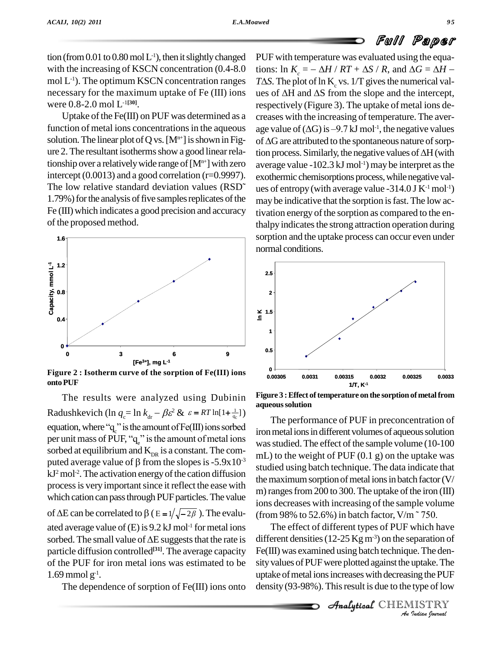tion (from  $0.01$  to  $0.80$  mol  $L^{-1}$ ), then it slightly changed PUF w with the increasing of KSCN concentration (0.4-8.0 mol  $L^{-1}$ ). The optimum KSCN concentration ranges  $T\Delta S$ . were 0.8-2.0 mol L -1**[30]**.

Uptake of the Fe(III) on PUF was determined as a function of metal ions concentrations in the aqueous solution. The linear plot of Q vs. [M<sup>n+</sup>] is shown in Fig- of  $\Delta G$  are attributed to the spontaneous nature of sorpure 2. The resultant isotherms show a good linear relationship over a relatively wide range of  $[M^{n+}]$  with zero intercept (0.0013) and a good correlation ( $r=0.9997$ ).  $_{ex}$ tionship over a relatively wide range of  $[M<sup>n+</sup>]$  with zero ave<br>intercept (0.0013) and a good correlation (r=0.9997). exo<br>The low relative standard deviation values (RSD<sup>o</sup> ues 1.79%) for the analysis of five samples replicates of the Fe (III) which indicates a good precision and accuracy of the proposed method.



**Figure** 2 : **Isotherm** curve of the sorption of  $\text{Fe(III)}$  ions  $\frac{0}{0.00305}$ **ontoPUF**

The results were analyzed using Dubinin The results were analyzed using Dubinin Figure<br>Radushkevich (ln  $q_c = \ln k_{dr} - \beta \varepsilon^2 \& \varepsilon = RT \ln[1 + \frac{1}{q_c}]$ ) Radushkevich (ln  $q_c = \ln k_{dr} - \beta \varepsilon^2$  &  $\varepsilon = RT \ln[1 + \frac{1}{q_c}]$ )<br>equation, where "q" is the amount of Fe(III) ions sorbed iron me equation, where " $q$ " is the amount of Fe(III) ions sorbed<br>per unit mass of PUF, " $q$ " is the amount of metal ions sorbed at equilibrium and  $K_{DR}$  is a constant. The comper unit mass of PUF, "q<sub>e</sub>" is the amount of metal ions<br>sorbed at equilibrium and  $K_{DR}$  is a constant. The computed average value of  $\beta$  from the slopes is -5.9x10<sup>-3</sup> puted average value of  $\beta$  from the slopes is -5.9x10<sup>-3</sup>  $kJ<sup>2</sup>$  mol<sup>-2</sup>. The activation energy of the cation diffusion  $\frac{3}{100}$ process is very important since it reflect the ease with which cation can pass through PUF particles. The value process is very important since it reflect the ease with<br>which cation can pass through PUF particles. The value<br>of  $\Delta E$  can be correlated to  $\beta$  ( $E = 1/\sqrt{-2\beta}$ ). The evalu-<br>(fro ated average value of  $(E)$  is 9.2 kJ mol<sup>-1</sup> for metal ions  $\qquad \qquad$  1 of  $\Delta E$  can be correlated to  $\beta$  ( $E = 1/\sqrt{-2\beta}$ ). The evalu-<br>ated average value of (E) is 9.2 kJ mol<sup>-1</sup> for metal ions <br>sorbed. The small value of  $\Delta E$  suggests that the rate is diffe particle diffusion controlled<sup>[31]</sup>. The average capacity Fe(III) of the PUF for iron metal ions was estimated to be  $1.69$  mmol  $g^{-1}$ .

The dependence of sorption of Fe(III) ions onto

necessary for the maximum uptake of Fe (III) ions ues of  $\Delta H$  and  $\Delta S$  from the slope and the intercept, PUF with temperature was evaluated using the equations: ln  $K_c = -\Delta H / RT + \Delta S / R$ , and  $\Delta G = \Delta H - T\Delta S$ . The plot of ln K<sub>c</sub> vs. 1/T gives the numerical valrespectively (Figure 3). The uptake of metal ions de creases with the increasing of temperature. The aver respectively (Figure 3). The uptake c<br>creases with the increasing of temper<br>age value of ( $\Delta G$ ) is -9.7 kJ mol<sup>-1</sup>, the age value of  $(\Delta G)$  is  $-9.7$  kJ mol<sup>-1</sup>, the negative values<br>of  $\Delta G$  are attributed to the spontaneous nature of sorp-<br>tion process. Similarly, the negative values of  $\Delta H$  (with creases with the increasing of temperature. The average value of  $(\Delta G)$  is  $-9.7$  kJ mol<sup>-1</sup>, the negative values of  $\Delta G$  are attributed to the spontaneous nature of sorpaverage value -102.3 kJ mol<sup>-1</sup>) may be interpret as the exothermic chemisorptions process, while negative values of entropy (with average value -314.0 J  $K^{-1}$  mol<sup>-1</sup>) may be indicative that the sorption is fast. The low activation energy of the sorption as compared to the enthalpy indicates the strong attraction operation during sorption and the uptake process can occur even under normal conditions.



**Figure** 3 **: Effect** of temperature on the sorption of metal from **aqueoussolution**

The performance of PUF in preconcentration of iron metal ions in different volumes of aqueous solution was studied. The effect of the sample volume (10-100) mL) to the weight of PUF  $(0.1 \text{ g})$  on the uptake was studied using batch technique. The data indicate that the maximum sorption of metal ions in batch factor  $(V/$ m) ranges from 200 to 300. The uptake of the iron  $(III)$ ions decreases with increasing of the sample volume m) ranges from 200 to 300. The uptake of the iron (III)<br>ions decreases with increasing of the sample volume<br>(from 98% to 52.6%) in batch factor, V/m~750.

 $Fe(III)$  was examined using batch technique. The den-Indian<br>**Indian**<br>Ing the PUF<br>Ing the PUF<br>INSTRY<br>Indian Iournal The effect of different types of PUF which have different densities (12-25 Kg m<sup>-3</sup>) on the separation of sity values of PUF were plotted against the uptake. The uptake of metal ions increases with decreasing the PUF density  $(93-98\%)$ . This result is due to the type of low

CHEMISTRY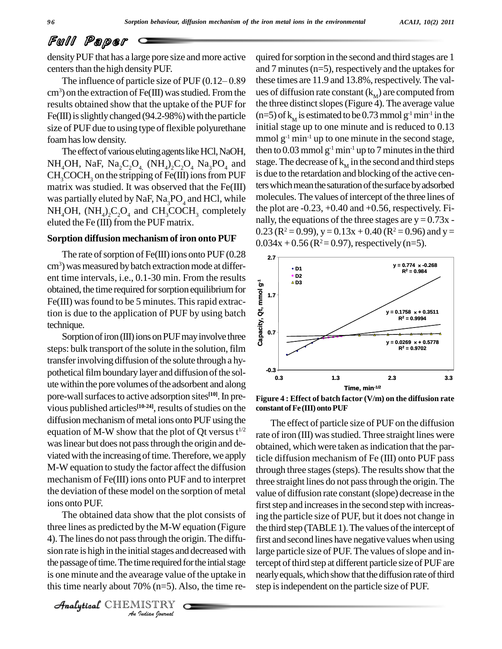densityPUF that has a large pore size and more active centers than the high density PUF.

The influence of particle size of PUF  $(0.12-0.89)$  $cm<sup>3</sup>$ ) on the extraction of Fe(III) was studied. From the results obtained show that the uptake of the PUF for Fe(III) is slightly changed (94.2-98%) with the particle size of PUF due to using type of flexible polyurethane foamhaslow density.

The effect of various eluting agents like HCl, NaOH, NH<sub>4</sub>OH, NaF, Na<sub>2</sub>C<sub>2</sub>O<sub>4</sub>, (NH<sub>4</sub>)<sub>2</sub>C<sub>2</sub>O<sub>4</sub> Na<sub>3</sub>PO<sub>4</sub> and stage.  $CH<sub>3</sub>COCH<sub>3</sub>$  on the stripping of Fe(III) ions from PUF matrix was studied. It was observed that the Fe(III) was partially eluted by NaF,  $Na<sub>3</sub>PO<sub>4</sub>$  and HCl, while  $NH_4OH$ ,  $(NH_4)_2C_2O_4$  and  $CH_3COCH_3$  completely the plo eluted the Fe (III) from the PUF matrix.

#### **Sorption diffusion mechanismof iron onto PUF**

The rate of sorption of  $Fe(III)$  ions onto  $PUF(0.28)$ cm<sup>3</sup>) was measured by batch extraction mode at different time intervals, i.e., 0.1-30 min. From the results  $\frac{1}{2}$ obtained, the time required for sorption equilibrium for Fe(III) was found to be 5 minutes. This rapid extraction is due to the application of PUF by using batch technique.

Sorption of iron (III) ions on PUF may involve three steps: bulk transport of the solute in the solution, film transfer involving diffusion of the solute through a hypothetical film boundary layer and diffusion of the solpolitical rinn counting they are director of the solutions. pore-wall surfaces to active adsorption sites<sup>[10]</sup>. In previous published articles<sup>[10-24]</sup>, results of studies on the constant diffusion mechanism of metal ions onto PUF using the equation of M-W show that the plot of Qt versus  $t^{1/2}$ waslinear but does not passthrough the origin and de viated with the increasing of time. Therefore, we apply M-W equation to study the factor affect the diffusion mechanism of Fe(III) ions onto PUF and to interpret the deviation of these model on the sorption of metal ions onto PUF.

Analytical side is high in the initial stages and decreased with large parties are the initial stages and decreased with *Indian*<br>*Indian Indian*<br>*Indian Journal*<br>*I*ndian *Iournal* The obtained data show that the plot consists of three lines as predicted by the M-W equation (Figure 4). The lines do not passthrough the origin.The diffu the passage of time. The time required for the intial stage tercep is one minute and the avearage value of the uptake in this time nearly about 70% (n=5). Also, the time re-

 $\mathcal{A}$ nalytical  $\mathbb{CHEMISTRY}$ 

quired forsorption in the second and third stages are 1 and 7 minutes ( $n=5$ ), respectively and the uptakes for these times are 11.9 and 13.8%, respectively. The values of diffusion rate constant  $(k_M)$  are computed from the three distinct slopes (Figure 4). The average value (n=5) of  $k_M$  is estimated to be 0.73 mmol  $g^{-1}$  min<sup>-1</sup> in the initial stage up to one minute and is reduced to 0.13 mmol  $g^{-1}$  min<sup>-1</sup> up to one minute in the second stage, then to 0.03 mmol  $g^{-1}$  min<sup>-1</sup> up to 7 minutes in the third stage. The decrease of  $k_{\scriptscriptstyle\rm{M}}^{}$  in the second and third steps is due to the retardation and blocking of the active centers which mean the saturation of the surface by adsorbed molecules. The values of intercept of the three lines of the plot are  $-0.23, +0.40$  and  $+0.56$ , respectively. Finally, the equations of the three stages are  $y = 0.73x$ .  $0.23$  (R<sup>2</sup> = 0.99), y = 0.13x + 0.40 (R<sup>2</sup> = 0.96) and y =  $0.034x + 0.56$  (R<sup>2</sup>=0.97), respectively (n=5).



**Figure 4 : Effect of batch factor (V/m) on the diffusion rate constant ofFe(III) ontoPUF**

The effect of particle size of PUF on the diffusion rate of iron (III) was studied. Three straight lines were obtained, which were taken as indication that the particle diffusion mechanism of Fe (III) onto PUF pass through three stages (steps). The results show that the three straight lines do not passthrough the origin. The value of diffusion rate constant(slope) decrease in the first step and increases in the second step with increasing the particle size of PUF, but it does not change in the third step (TABLE1). The values of the intercept of first and second lines have negative valueswhen using large particle size of PUF. The values of slope and intercept of third step at different particle size of PUF are nearly equals, which show that the diffusion rate of third step isindependent on the particle size of PUF.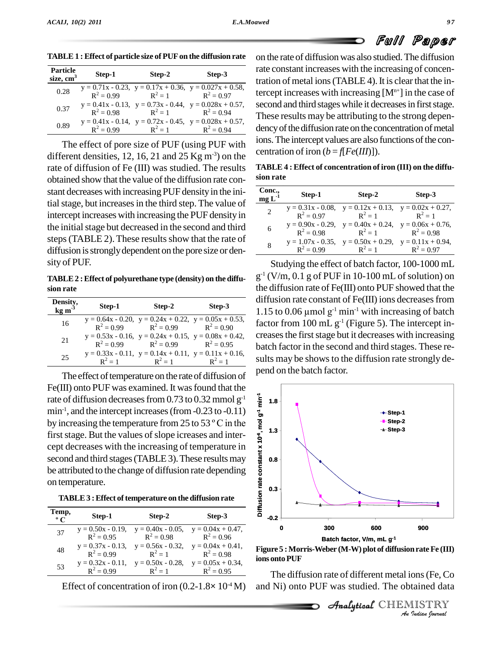| <b>Particle</b><br>size, $cm3$ | Step-1       | Step-2                              | Step-3                                                          |
|--------------------------------|--------------|-------------------------------------|-----------------------------------------------------------------|
| 0.28                           |              | $R^2 = 0.99$ $R^2 = 1$ $R^2 = 0.97$ | $y = 0.71x - 0.23$ , $y = 0.17x + 0.36$ , $y = 0.027x + 0.58$ , |
| 0.37                           | $R^2 = 0.98$ | $R^2 = 1$ $R^2 = 0.94$              | $y = 0.41x - 0.13$ , $y = 0.73x - 0.44$ , $y = 0.028x + 0.57$ , |
| 0.89                           | $R^2 = 0.99$ | $R^2 = 1$ $R^2 = 0.94$              | $y = 0.41x - 0.14$ , $y = 0.72x - 0.45$ , $y = 0.028x + 0.57$ , |

**TABLE1 :Effect of particle size of PUFon the diffusion rate**

The effect of pore size of PUF (using PUF with different densities, 12, 16, 21 and 25 Kg  $m^{-3}$ ) on the rate of diffusion of Fe (III) was studied. The results obtained show that the value of the diffusion rate constant decreases with increasing PUF densityin the initial stage, but increases in the third step. The value of intercept increases with increasing the PUF density in the initial stage but decreased in the second and third steps (TABLE 2). These results show that the rate of diffusion is strongly dependent on the pore size or density of PUF.

**TABLE2 :Effect of polyurethane type (density) on the diffu sion rate**

| Density,<br>$kg \, \text{m}^{-3}$ | Step-1       | Step-2                                                                                                   | Step-3    |
|-----------------------------------|--------------|----------------------------------------------------------------------------------------------------------|-----------|
| 16                                |              | $y = 0.64x - 0.20$ , $y = 0.24x + 0.22$ , $y = 0.05x + 0.53$ ,<br>$R^2 = 0.99$ $R^2 = 0.99$ $R^2 = 0.90$ |           |
| 21                                | $R^2 = 0.99$ | $y = 0.53x - 0.16$ , $y = 0.24x + 0.15$ , $y = 0.08x + 0.42$ ,<br>$R^2 = 0.99$ $R^2 = 0.95$              |           |
| 25                                | $R^2 - 1$    | $y = 0.33x - 0.11$ , $y = 0.14x + 0.11$ , $y = 0.11x + 0.16$ ,<br>$R^2 - 1$                              | $R^2 = 1$ |

The effect of temperature on the rate of diffusion of Fe(III) onto PUF was examined. It was found that the rate of diffusion decreases from 0.73 to 0.32 mmol  $g^{-1}$ min<sup>-1</sup>, and the intercept increases (from -0.23 to -0.11)  $\frac{1}{6}$ by increasing the temperature from 25 to 53  $\degree$  C in the first stage. But the values of slope icreases and intercept decreases with the increasing of temperature in second and third stages (TABLE 3). These results may be attributed to the change of diffusion rate depending on temperature.

| Temp,<br>$\rm ^{\circ}$ C | Step-1                               | Step-2                                                                      | Step-3                               |
|---------------------------|--------------------------------------|-----------------------------------------------------------------------------|--------------------------------------|
| 37                        | $y = 0.50x - 0.19$ ,<br>$R^2 = 0.95$ | $y = 0.40x - 0.05$ ,<br>$R^2 = 0.98$                                        | $y = 0.04x + 0.47$ ,<br>$R^2 = 0.96$ |
| 48                        | $R^2 = 0.99$                         | $y = 0.37x - 0.13$ , $y = 0.56x - 0.32$ , $y = 0.04x + 0.41$ ,<br>$R^2 - 1$ | $R^2 = 0.98$                         |
| 53                        | $R^2 = 0.99$                         | $y = 0.32x - 0.11$ , $y = 0.50x - 0.28$ ,<br>$R^2 = 1$                      | $y = 0.05x + 0.34$ ,<br>$R^2 = 0.95$ |

on the rate of diffusion was also studied.The diffusion rate constant increases with the increasing of concentration of metal ions (TABLE 4). It is clear that the intercept increases with increasing  $[M<sup>n+</sup>]$  in the case of second and third stages while it decreases in first stage. These results may be attributing to the strong depen dency of the diffusion rate on the concentration of metal ions. The intercept values are also functions of the concentration of iron  $(b = f[Fe(III))]$ ).

**TABLE 4 : Effect of concentration of iron (III) on the diffu sion rate**

| Conc.,<br>$mgL^{-1}$ | Step-1       | Step-2                                                                      | Step-3       |
|----------------------|--------------|-----------------------------------------------------------------------------|--------------|
| $\overline{c}$       | $R^2 = 0.97$ | $y = 0.31x - 0.08$ , $y = 0.12x + 0.13$ , $y = 0.02x + 0.27$ ,<br>$R^2 = 1$ | $R^2 - 1$    |
| 6                    | $R^2 = 0.98$ | $y = 0.90x - 0.29$ , $y = 0.40x + 0.24$ , $y = 0.06x + 0.76$ ,<br>$R^2=1$   | $R^2 = 0.98$ |
| 8                    | $R^2 = 0.99$ | $y = 1.07x - 0.35$ , $y = 0.50x + 0.29$ , $y = 0.11x + 0.94$ ,<br>$R^2 = 1$ | $R^2 = 0.97$ |

Studying the effect of batch factor, 100-1000 mL g -1 (V/m, 0.1 g of PUF in 10-100 mL ofsolution) on the diffusion rate of Fe(III) onto PUF showed that the diffusion rate constant of Fe(III) ions decreases from the diffusion rate of Fe(III) onto PUF showed that the<br>diffusion rate constant of Fe(III) ions decreases from<br>1.15 to 0.06  $\mu$ mol  $g^{-1}$  min<sup>-1</sup> with increasing of batch factor from  $100 \text{ mL g}^{-1}$  (Figure 5). The intercept increases the first stage but it decreases with increasing batch factor in the second and third stages. These re sults may be shows to the diffusion rate strongly depend on the batch factor.



*An*Analytical**Figure 5 :Morris-Weber (M-W) plot of diffusionrateFe (III) ions** onto PUF

*In rate Fe (III)*<br> *Ins* (Fe, Co<br> *IISTRY*<br> *IISTRY* The diffusion rate of different metal ions(Fe, Co and Ni) onto PUF was studied. The obtained data

**Analytical** CHEMISTRY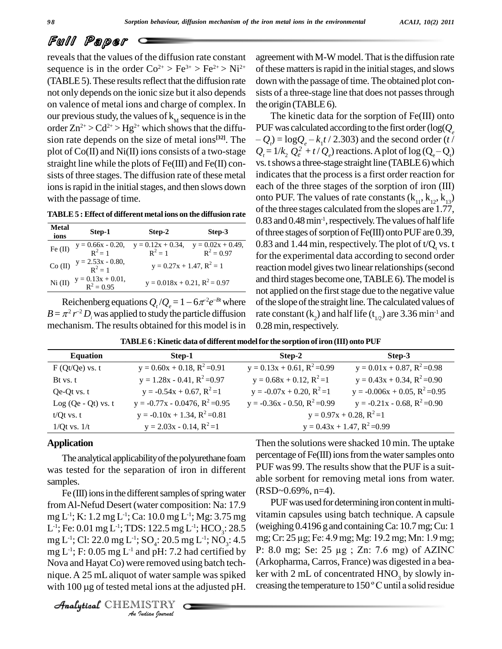reveals that the values of the diffusion rate constant sequence is in the order  $Co^{2+} > Fe^{3+} > Fe^{2+} > Ni^{2+}$  of the (TABLE 5). These results reflect that the diffusion rate not only depends on the ionic size but it also depends on valence of metal ions and charge of complex. In our previous study, the values of  $k_M$  sequence is in the T order  $\text{Zn}^{2+} > \text{Cd}^{2+} > \text{Hg}^{2+}$  which shows that the diffu- PUI sion rate depends on the size of metal ions<sup>[32]</sup>. The  $-Q_i$ plot of  $Co(II)$  and  $Ni(II)$  ions consists of a two-stage straight line while the plots of Fe(III) and Fe(II) con sists of three stages. The diffusion rate of these metal ions is rapid in the initial stages, and then slows down with the passage of time.

**TABLE5 : Effect of different metal ions on the diffusion rate**

| <b>Metal</b><br>ions | Step-1                                       | Step-2                                                                 | Step-3 |
|----------------------|----------------------------------------------|------------------------------------------------------------------------|--------|
| Fe $(II)$            | $y = 0.66x - 0.20,$<br>$R^2 = 1$             | $y = 0.12x + 0.34$ , $y = 0.02x + 0.49$ ,<br>$R^2 = 1$<br>$R^2 = 0.97$ |        |
|                      | Co (II) $y = 2.53x - 0.80$ ,<br>$R^2 = 1$    | $y = 0.27x + 1.47$ , $R^2 = 1$                                         |        |
|                      | Ni (II) $y = 0.13x + 0.01$ ,<br>$R^2 = 0.95$ | $y = 0.018x + 0.21$ , $R^2 = 0.97$                                     |        |
|                      |                                              | Reichenberg equations $Q_t/Q_s = 1 - 6\pi^2 e^{-Bt}$ where             |        |

 $B = \pi^2 r^{-2} D_i$  was applied to study the particle diffusion rate co mechanism. The results obtained for this model is in

agreement with M-W model. That is the diffusion rate of these matters is rapid in the initial stages, and slows down with the passage of time. The obtained plot consists of a three-stage line that does not passes through the origin (TABLE  $6$ ).

The kinetic data for the sorption of Fe(III) onto PUF was calculated according to the first order (log( $Q_e$ The kinetic data for the sorption of Fe(III) onto<br>*DF* was calculated according to the first order ( $log(Q_e$ <br> $Q_t) = logQ_e - k_1 t / 2.303$ ) and the second order (*t*/  $Q_t = 1/k$ ,  $Q_e^2 + t/Q_e$  reactions. A plot of  $log(Q_e - Q_t)$ calculated according to the first order (log( $Q_e$ <br>  $2Q_e - k_1 t / 2.303$ ) and the second order (*t*/<br>  $Q_e^2 + t / Q_e$ ) reactions. A plot of log ( $Q_e - Q_e$ ) vs. t shows a three-stage straight line (TABLE6) which indicates that the process is a first order reaction for each of the three stages of the sorption of iron (III) onto PUF. The values of rate constants  $(k_{11}, k_{12}, k_{13})$ of the three stages calculated from the slopes are 1.77, 0.83 and 0.48 min<sup>-1</sup>, respectively. The values of half life of three stages of sorption of  $Fe(III)$  onto PUF are 0.39, 0.83 and 1.44 min, respectively. The plot of  $t/Q_t$  vs. t for the experimental data according to second order reaction model gives two linear relationships (second and third stages become one,TABLE 6).Themodel is not applied on the first stage due to the negative value of the slope of the straight line. The calculated values of rate constant ( $k_2$ ) and half life ( $t_{1/2}$ ) are 3.36 min<sup>-1</sup> and 0.28 min, respectively.

| <b>Equation</b>       | Step-1                               | Step-2                             | Step-3                              |  |
|-----------------------|--------------------------------------|------------------------------------|-------------------------------------|--|
| $F (Qt/Qe)$ vs. t     | $y = 0.60x + 0.18$ , $R^2 = 0.91$    | $y = 0.13x + 0.61$ , $R^2 = 0.99$  | $y = 0.01x + 0.87$ , $R^2 = 0.98$   |  |
| Bt vs. t              | $y = 1.28x - 0.41$ , $R^2 = 0.97$    | $y = 0.68x + 0.12$ , $R^2 = 1$     | $y = 0.43x + 0.34$ , $R^2 = 0.90$   |  |
| Qe-Qt vs. t           | $y = -0.54x + 0.67$ , $R^2 = 1$      | $y = -0.07x + 0.20$ , $R^2 = 1$    | $y = -0.006x + 0.05$ , $R^2 = 0.95$ |  |
| Log $(Qe - Qt)$ vs. t | $y = -0.77x - 0.0476$ , $R^2 = 0.95$ | $y = -0.36x - 0.50$ , $R^2 = 0.99$ | $y = -0.21x - 0.68$ , $R^2 = 0.90$  |  |
| $t/Qt$ vs. $t$        | $y = -0.10x + 1.34$ , $R^2 = 0.81$   | $y = 0.97x + 0.28$ , $R^2 = 1$     |                                     |  |
| $1/Qt$ vs. $1/t$      | $y = 2.03x - 0.14$ , $R^2 = 1$       |                                    | $y = 0.43x + 1.47$ , $R^2 = 0.99$   |  |

**TABLE6 :Kinetic data ofdifferent modelfor the sorption ofiron (III) onto PUF**

### **Application**

The analytical applicability of the polyurethane foam was tested for the separation of iron in different samples.

mg L<sup>-1</sup>; Cl: 22.0 mg L<sup>-1</sup>; SO<sub>4</sub>: 20.5 mg L<sup>-1</sup>; NO<sub>3</sub>: 4.5 *I*<br>
Ind pH: 7.2 l<br> *I* re removed u<br> *I* of water sametal ions at t<br> *I* ISTRY mg L<sup>-1</sup>; F: 0.05 mg L<sup>-1</sup> and pH: 7.2 had certified by P: 8.0  $Fe (III)$  ions in the different samples of spring water fromAl-Nefud Desert (water composition: Na: 17.9 mg L<sup>-1</sup>; K: 1.2 mg L<sup>-1</sup>; Ca: 10.0 mg L<sup>-1</sup>; Mg: 3.75 mg <sup>v1tam11</sup> L<sup>-1</sup>; Fe: 0.01 mg L<sup>-1</sup>; TDS: 122.5 mg L<sup>-1</sup>; HCO<sub>3</sub>: 28.5 (weigh Nova and Hayat Co) were removed using batch tech-<br>nique. A 25 mL aliquot of water sample was spiked ker<br>with 100 µg of tested metal ions at the adjusted pH. crea nique. A 25 mL aliquot of water sample was spiked ker with 2 mL of concentrated  $HNO<sub>3</sub>$  by slowly in-

CHEMISTRY

Then the solutions were shacked 10 min. The uptake percentage of Fe(III) ions from the water samples onto PUF was 99. The results show that the PUF is a suitable sorbent for removing metal ions from water.  $(RSD~0.69\%, n=4)$ .

 $\frac{5 \text{ mg}}{28.5}$  (weighing 0.4196 g and containing Ca: 10.7 mg; Cu: 1<br>  $\frac{14.5}{14.5}$  mg; Cr: 25 µg; Fe: 4.9 mg; Mg: 19.2 mg; Mn: 1.9 mg; PUF was used for determining iron content in multivitamin capsules using batch technique. A capsule (weighing 0.4196 g and containingCa: 10.7mg;Cu: 1 (weighing 0.4196 g and containing Ca: 10.7 mg; Cu: 1<br>mg; Cr: 25 μg; Fe: 4.9 mg; Mg: 19.2 mg; Mn: 1.9 mg;<br>P: 8.0 mg; Se: 25 μg ; Zn: 7.6 mg) of AZINC (Arkopharma, Carros, France) was digested in a bea creasing the temperature to  $150^{\circ}$ C until a solid residue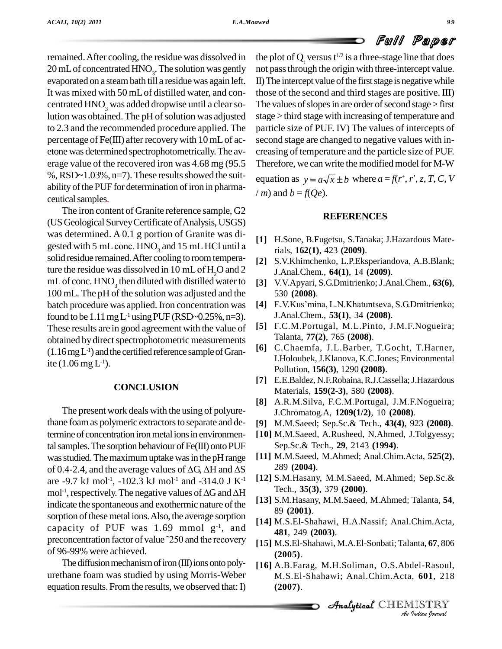remained.After cooling, the residue was dissolved in 20 mL of concentrated  $HNO_3$ . The solution was gently not pas evaporated on a steambath till a residuewas again left. It was mixed with 50 mLof distilled water, and con centrated  $HNO<sub>3</sub>$  was added dropwise until a clear solution was obtained. The pH of solution was adjusted to 2.3 and the recommended procedure applied. The percentage of Fe(III) after recoverywith 10mLof ac etone was determined spectrophotometrically.The av erage value of the recovered iron was 4.68 mg (95.5 %, RSD~1.03%, n=7). These results showed the suitability of the PUF for determination of iron in pharmaceutical samples.

The iron content of Granite reference sample, G2 (USGeologicalSurveyCertificate ofAnalysis,USGS) was determined. A 0.1 g portion of Granite was di- (US Geological Survey Certificate of Analysis, USGS)<br>was determined. A 0.1 g portion of Granite was digested with 5 mL conc.  $HNO_3$  and 15 mL HCl until a solid residue remained.After cooling to roomtemperagested with 5 mL conc. HNO<sub>3</sub> and 15 mL HCl until a<br>solid residue remained. After cooling to room tempera-<br>ture the residue was dissolved in 10 mL of H<sub>2</sub>O and 2  $\frac{1}{1}$ mL of conc.  $HNO_3$  then diluted with distilled water to [3] V. 100 mL.The pH of the solution was adjusted and the batch procedure was applied. Iron concentration was [4] E.V.Kus'mina, L.N.Khatuntseva, S.G.Dmitrienko; found to be  $1.11 \text{ mg } L^1$  using PUF (RSD~0.25%, n=3). These results are in good agreement with the value of obtained by direct spectrophotometric measurements  $(1.16 \text{ mg L}^{-1})$  and the certified reference sample of Granite  $(1.06 \,\mathrm{mg}\, \mathrm{L}^{1}).$ 

#### **CONCLUSION**

The present work deals with the using of polyurethane foam as polymeric extractors to separate and determine of concentration iron metal ions in environmental samples. The sorption behaviour of Fe(III) onto PUF Sep was studied. The maximum uptake was in the pH range [11] M.<br>of 0.4-2.4, and the average values of  $\Delta G$ ,  $\Delta H$  and  $\Delta S$  289 was studied. The maximum uptake was in the pH range are -9.7 kJ mol<sup>-1</sup>, -102.3 kJ mol<sup>-1</sup> and -314.0 J K<sup>-1</sup> L<sup>12</sup>  $\text{mol}^{\text{-1}}, \text{resp}$ 4-2.4, and the average values of  $\Delta G$ ,  $\Delta H$  and  $\Delta S$  and  $\Delta H$  = 289 (29.7 kJ mol<sup>-1</sup>, -102.3 kJ mol<sup>-1</sup> and -314.0 J K<sup>-1</sup> [12] S.M.H = 7 rech., Tech., indicate the spontaneous and exothermic nature of the sorption of these metal ions. Also, the average sorption capacity of PUF was 1.69 mmol  $g^{-1}$ , and sorption of these metal ions. Also, the average sorption capacity of PUF was 1.69 mmol  $g^{-1}$ , and  $\frac{48}{48}$  preconcentration factor of value ~250 and the recovery [15] M of 96-99% were achieved.

The diffusion mechanism of iron (III) ions onto polyurethane foam was studied by using Morris-Weber equation results. From the results, we observed that: I)

the plot of  $Q_t$  versus  $t^{1/2}$  is a three-stage line that does not passthrough the origin with three-intercept value. II) The intercept value of the first stage is negative while those of the second and third stages are positive. III) The values of slopes in are order of second stage  $>$  first stage > third stage with increasing of temperature and particle size of PUF. IV) The values of intercepts of second stage are changed to negative values with in creasing of temperature and the particle size of PUF. Therefore, we can write the modified model for M-W creasing of temperature and the particle size of PUF.<br>Therefore, we can write the modified model for M-W<br>equation as  $y = a\sqrt{x} \pm b$  where  $a = f(r^*, r', z, T, C, V)$ 

/ *m*) and  $b = f(Qe)$ .

#### **REFERENCES**

- **[1]** H.Sone, B.Fugetsu, S.Tanaka; J.Hazardous Materials, **162(1)**, 423 **(2009)**.
- **[2]** S.V.Khimchenko, L.P.Eksperiandova, A.B.Blank; J.Anal.Chem., **64(1)**, 14 **(2009)**.
- **[3]** V.V.Apyari, S.G.Dmitrienko; J.Anal.Chem., **63(6)**, **530 (2008)**.<br>**[4]** E.V.Kus'mina, L.N.Khatuntseva, S.G.Dmitrienko; 530 **(2008)**.
- J.Anal.Chem., **53(1)**, 34 **(2008)**.
- **[5]** F.C.M.Portugal, M.L.Pinto, J.M.F.Nogueira; Talanta, **77(2)**, 765 **(2008)**.
- **[6]** C.Chaemfa, J.L.Barber, T.Gocht, T.Harner, I.Holoubek,J.Klanova, K.C.Jones; Environmental Pollution, **156(3)**, 1290 **(2008)**.
- **[7]** E.E.Baldez, N.F.Robaina,R.J.Cassella;J.Hazardous Materials, **159(2-3)**, 580 **(2008)**.
- **[8]** A.R.M.Silva, F.C.M.Portugal, J.M.F.Nogueira; J.Chromatog.A, **1209(1/2)**, 10 **(2008)**.
- **[9]** M.M.Saeed; Sep.Sc.& Tech., **43(4)**, 923 **(2008)**.
- **[10]** M.M.Saeed, A.Rusheed, N.Ahmed, J.Tolgyessy; Sep.Sc.& Tech., **29**, 2143 **(1994)**.
- **[11]** M.M.Saeed, M.Ahmed; Anal.Chim.Acta, **525(2)**, 289 **(2004)**.
- **[12]** S.M.Hasany, M.M.Saeed, M.Ahmed; Sep.Sc.& Tech., **35(3)**, 379 **(2000)**.
- **[13]** S.M.Hasany, M.M.Saeed, M.Ahmed; Talanta, **54**, 89 **(2001)**.
- **[14]** M.S.El-Shahawi, H.A.Nassif; Anal.Chim.Acta, **481**, 249 **(2003)**.
- *A A*<sub>n</sub> *A*<sub>n</sub>.El-Shahawi, M.A.El-Sonbati; Talanta, **67**, 806<br>(2005) **(2005)**.
- anta, **67**, 806<br>del-Rasoul,<br>!, **601**, 218<br>IISTRY<br>!udian !ournal **[16]** A.B.Farag, M.H.Soliman, O.S.Abdel-Rasoul, M.S.El-Shahawi; Anal.Chim.Acta, **601**, 218 **(2007)**.